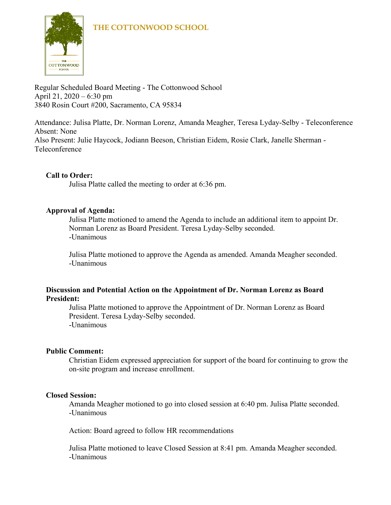

Regular Scheduled Board Meeting - The Cottonwood School April 21, 2020 – 6:30 pm 3840 Rosin Court #200, Sacramento, CA 95834

Attendance: Julisa Platte, Dr. Norman Lorenz, Amanda Meagher, Teresa Lyday-Selby - Teleconference Absent: None Also Present: Julie Haycock, Jodiann Beeson, Christian Eidem, Rosie Clark, Janelle Sherman - Teleconference

# **Call to Order:**

Julisa Platte called the meeting to order at 6:36 pm.

# **Approval of Agenda:**

Julisa Platte motioned to amend the Agenda to include an additional item to appoint Dr. Norman Lorenz as Board President. Teresa Lyday-Selby seconded. -Unanimous

Julisa Platte motioned to approve the Agenda as amended. Amanda Meagher seconded. -Unanimous

# **Discussion and Potential Action on the Appointment of Dr. Norman Lorenz as Board President:**

Julisa Platte motioned to approve the Appointment of Dr. Norman Lorenz as Board President. Teresa Lyday-Selby seconded. -Unanimous

# **Public Comment:**

Christian Eidem expressed appreciation for support of the board for continuing to grow the on-site program and increase enrollment.

#### **Closed Session:**

Amanda Meagher motioned to go into closed session at 6:40 pm. Julisa Platte seconded. -Unanimous

Action: Board agreed to follow HR recommendations

Julisa Platte motioned to leave Closed Session at 8:41 pm. Amanda Meagher seconded. -Unanimous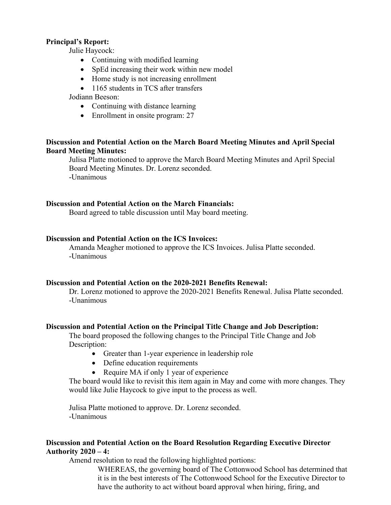# **Principal's Report:**

Julie Haycock:

- Continuing with modified learning
- SpEd increasing their work within new model
- Home study is not increasing enrollment
- 1165 students in TCS after transfers

# Jodiann Beeson:

- Continuing with distance learning
- Enrollment in onsite program: 27

# **Discussion and Potential Action on the March Board Meeting Minutes and April Special Board Meeting Minutes:**

Julisa Platte motioned to approve the March Board Meeting Minutes and April Special Board Meeting Minutes. Dr. Lorenz seconded. -Unanimous

# **Discussion and Potential Action on the March Financials:**

Board agreed to table discussion until May board meeting.

# **Discussion and Potential Action on the ICS Invoices:**

Amanda Meagher motioned to approve the ICS Invoices. Julisa Platte seconded. -Unanimous

#### **Discussion and Potential Action on the 2020-2021 Benefits Renewal:**

Dr. Lorenz motioned to approve the 2020-2021 Benefits Renewal. Julisa Platte seconded. -Unanimous

#### **Discussion and Potential Action on the Principal Title Change and Job Description:**

The board proposed the following changes to the Principal Title Change and Job Description:

- Greater than 1-year experience in leadership role
- Define education requirements
- Require MA if only 1 year of experience

The board would like to revisit this item again in May and come with more changes. They would like Julie Haycock to give input to the process as well.

Julisa Platte motioned to approve. Dr. Lorenz seconded. -Unanimous

# **Discussion and Potential Action on the Board Resolution Regarding Executive Director Authority 2020 – 4:**

Amend resolution to read the following highlighted portions:

WHEREAS, the governing board of The Cottonwood School has determined that it is in the best interests of The Cottonwood School for the Executive Director to have the authority to act without board approval when hiring, firing, and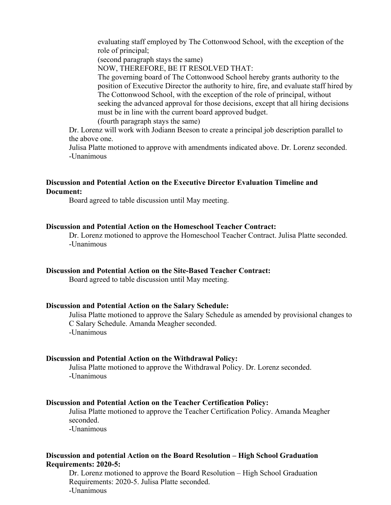evaluating staff employed by The Cottonwood School, with the exception of the role of principal;

(second paragraph stays the same)

NOW, THEREFORE, BE IT RESOLVED THAT:

The governing board of The Cottonwood School hereby grants authority to the position of Executive Director the authority to hire, fire, and evaluate staff hired by The Cottonwood School, with the exception of the role of principal, without seeking the advanced approval for those decisions, except that all hiring decisions must be in line with the current board approved budget. (fourth paragraph stays the same)

Dr. Lorenz will work with Jodiann Beeson to create a principal job description parallel to the above one.

Julisa Platte motioned to approve with amendments indicated above. Dr. Lorenz seconded. -Unanimous

# **Discussion and Potential Action on the Executive Director Evaluation Timeline and Document:**

Board agreed to table discussion until May meeting.

#### **Discussion and Potential Action on the Homeschool Teacher Contract:**

Dr. Lorenz motioned to approve the Homeschool Teacher Contract. Julisa Platte seconded. -Unanimous

#### **Discussion and Potential Action on the Site-Based Teacher Contract:**

Board agreed to table discussion until May meeting.

#### **Discussion and Potential Action on the Salary Schedule:**

Julisa Platte motioned to approve the Salary Schedule as amended by provisional changes to C Salary Schedule. Amanda Meagher seconded. -Unanimous

#### **Discussion and Potential Action on the Withdrawal Policy:**

Julisa Platte motioned to approve the Withdrawal Policy. Dr. Lorenz seconded. -Unanimous

#### **Discussion and Potential Action on the Teacher Certification Policy:**

Julisa Platte motioned to approve the Teacher Certification Policy. Amanda Meagher seconded.

-Unanimous

#### **Discussion and potential Action on the Board Resolution – High School Graduation Requirements: 2020-5:**

Dr. Lorenz motioned to approve the Board Resolution – High School Graduation Requirements: 2020-5. Julisa Platte seconded. -Unanimous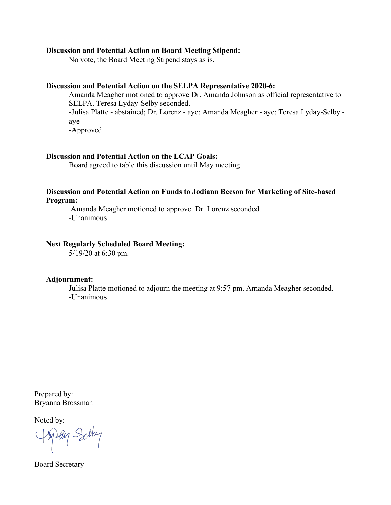#### **Discussion and Potential Action on Board Meeting Stipend:**

No vote, the Board Meeting Stipend stays as is.

#### **Discussion and Potential Action on the SELPA Representative 2020-6:**

Amanda Meagher motioned to approve Dr. Amanda Johnson as official representative to SELPA. Teresa Lyday-Selby seconded. -Julisa Platte - abstained; Dr. Lorenz - aye; Amanda Meagher - aye; Teresa Lyday-Selby aye

-Approved

#### **Discussion and Potential Action on the LCAP Goals:**

Board agreed to table this discussion until May meeting.

#### **Discussion and Potential Action on Funds to Jodiann Beeson for Marketing of Site-based Program:**

Amanda Meagher motioned to approve. Dr. Lorenz seconded. -Unanimous

#### **Next Regularly Scheduled Board Meeting:**

5/19/20 at 6:30 pm.

#### **Adjournment:**

Julisa Platte motioned to adjourn the meeting at 9:57 pm. Amanda Meagher seconded. -Unanimous

Prepared by: Bryanna Brossman

Noted by:

Hyday Solley

Board Secretary